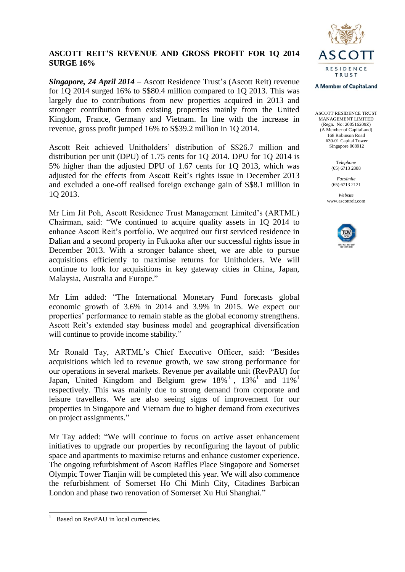

# **ASCOTT REIT'S REVENUE AND GROSS PROFIT FOR 1Q 2014 SURGE 16%**

*Singapore, 24 April 2014* – Ascott Residence Trust's (Ascott Reit) revenue for 1Q 2014 surged 16% to S\$80.4 million compared to 1Q 2013. This was largely due to contributions from new properties acquired in 2013 and stronger contribution from existing properties mainly from the United Kingdom, France, Germany and Vietnam. In line with the increase in revenue, gross profit jumped 16% to S\$39.2 million in 1Q 2014.

Ascott Reit achieved Unitholders' distribution of S\$26.7 million and distribution per unit (DPU) of 1.75 cents for 1Q 2014. DPU for 1Q 2014 is 5% higher than the adjusted DPU of 1.67 cents for 1Q 2013, which was adjusted for the effects from Ascott Reit's rights issue in December 2013 and excluded a one-off realised foreign exchange gain of S\$8.1 million in 1Q 2013.

Mr Lim Jit Poh, Ascott Residence Trust Management Limited's (ARTML) Chairman, said: "We continued to acquire quality assets in 1Q 2014 to enhance Ascott Reit's portfolio. We acquired our first serviced residence in Dalian and a second property in Fukuoka after our successful rights issue in December 2013. With a stronger balance sheet, we are able to pursue acquisitions efficiently to maximise returns for Unitholders. We will continue to look for acquisitions in key gateway cities in China, Japan, Malaysia, Australia and Europe."

Mr Lim added: "The International Monetary Fund forecasts global economic growth of 3.6% in 2014 and 3.9% in 2015. We expect our properties' performance to remain stable as the global economy strengthens. Ascott Reit's extended stay business model and geographical diversification will continue to provide income stability."

Mr Ronald Tay, ARTML's Chief Executive Officer, said: "Besides acquisitions which led to revenue growth, we saw strong performance for our operations in several markets. Revenue per available unit (RevPAU) for Japan, United Kingdom and Belgium grew  $18\%$ <sup>1</sup>,  $13\%$ <sup>1</sup> and  $11\%$ <sup>1</sup> respectively. This was mainly due to strong demand from corporate and leisure travellers. We are also seeing signs of improvement for our properties in Singapore and Vietnam due to higher demand from executives on project assignments."

Mr Tay added: "We will continue to focus on active asset enhancement initiatives to upgrade our properties by reconfiguring the layout of public space and apartments to maximise returns and enhance customer experience. The ongoing refurbishment of Ascott Raffles Place Singapore and Somerset Olympic Tower Tianjin will be completed this year. We will also commence the refurbishment of Somerset Ho Chi Minh City, Citadines Barbican London and phase two renovation of Somerset Xu Hui Shanghai."

#### **A Member of CapitaLand**

ASCOTT RESIDENCE TRUST MANAGEMENT LIMITED (Regn. No: 200516209Z) (A Member of CapitaLand) 168 Robinson Road #30-01 Capital Tower Singapore 068912

> *Telephone* (65) 6713 2888

*Facsimile* (65) 6713 2121

*Website* www.ascottreit.com



 $\frac{1}{1}$ Based on RevPAU in local currencies.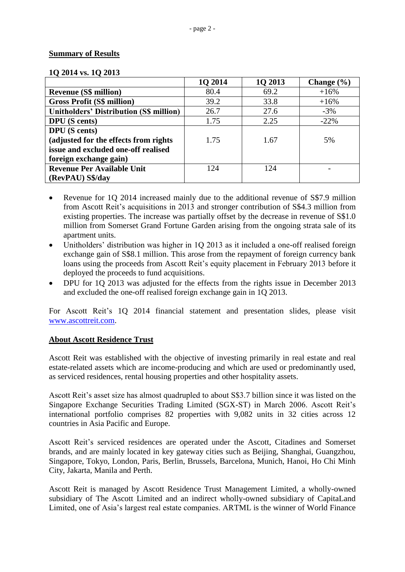## **Summary of Results**

| 1Q 2014 vs. 1Q 2013 |  |
|---------------------|--|
|---------------------|--|

|                                                | 10 2014 | 1Q 2013 | Change $(\% )$ |
|------------------------------------------------|---------|---------|----------------|
| <b>Revenue (S\$ million)</b>                   | 80.4    | 69.2    | $+16%$         |
| <b>Gross Profit (S\$ million)</b>              | 39.2    | 33.8    | $+16%$         |
| <b>Unitholders' Distribution (S\$ million)</b> | 26.7    | 27.6    | $-3%$          |
| <b>DPU</b> (S cents)                           | 1.75    | 2.25    | $-22%$         |
| <b>DPU</b> (S cents)                           |         |         |                |
| (adjusted for the effects from rights          | 1.75    | 1.67    | 5%             |
| issue and excluded one-off realised            |         |         |                |
| foreign exchange gain)                         |         |         |                |
| <b>Revenue Per Available Unit</b>              | 124     | 124     |                |
| (RevPAU) S\$/day                               |         |         |                |

- Revenue for 10 2014 increased mainly due to the additional revenue of S\$7.9 million from Ascott Reit's acquisitions in 2013 and stronger contribution of S\$4.3 million from existing properties. The increase was partially offset by the decrease in revenue of S\$1.0 million from Somerset Grand Fortune Garden arising from the ongoing strata sale of its apartment units.
- Unitholders' distribution was higher in 1Q 2013 as it included a one-off realised foreign exchange gain of S\$8.1 million. This arose from the repayment of foreign currency bank loans using the proceeds from Ascott Reit's equity placement in February 2013 before it deployed the proceeds to fund acquisitions.
- DPU for 1Q 2013 was adjusted for the effects from the rights issue in December 2013 and excluded the one-off realised foreign exchange gain in 1Q 2013.

For Ascott Reit's 1Q 2014 financial statement and presentation slides, please visit [www.ascottreit.com.](http://www.ascottreit.com/)

## **About Ascott Residence Trust**

Ascott Reit was established with the objective of investing primarily in real estate and real estate-related assets which are income-producing and which are used or predominantly used, as serviced residences, rental housing properties and other hospitality assets.

Ascott Reit's asset size has almost quadrupled to about S\$3.7 billion since it was listed on the Singapore Exchange Securities Trading Limited (SGX-ST) in March 2006. Ascott Reit's international portfolio comprises 82 properties with 9,082 units in 32 cities across 12 countries in Asia Pacific and Europe.

Ascott Reit's serviced residences are operated under the Ascott, Citadines and Somerset brands, and are mainly located in key gateway cities such as Beijing, Shanghai, Guangzhou, Singapore, Tokyo, London, Paris, Berlin, Brussels, Barcelona, Munich, Hanoi, Ho Chi Minh City, Jakarta, Manila and Perth.

Ascott Reit is managed by Ascott Residence Trust Management Limited, a wholly-owned subsidiary of The Ascott Limited and an indirect wholly-owned subsidiary of CapitaLand Limited, one of Asia's largest real estate companies. ARTML is the winner of World Finance